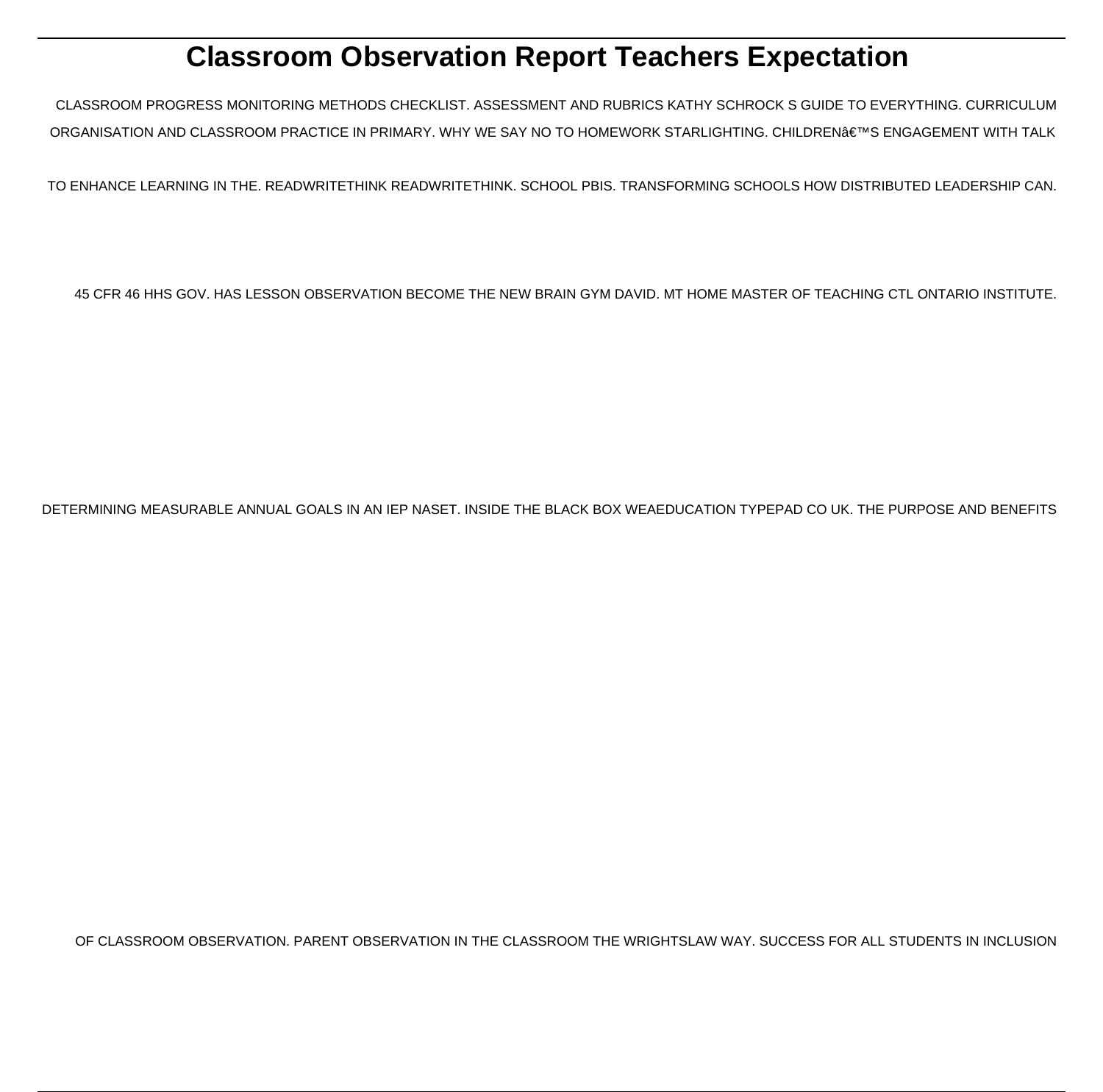# **Classroom Observation Report Teachers Expectation**

CLASSROOM PROGRESS MONITORING METHODS CHECKLIST. ASSESSMENT AND RUBRICS KATHY SCHROCK S GUIDE TO EVERYTHING. CURRICULUM ORGANISATION AND CLASSROOM PRACTICE IN PRIMARY. WHY WE SAY NO TO HOMEWORK STARLIGHTING. CHILDREN'S ENGAGEMENT WITH TALK

TO ENHANCE LEARNING IN THE. READWRITETHINK READWRITETHINK. SCHOOL PBIS. TRANSFORMING SCHOOLS HOW DISTRIBUTED LEADERSHIP CAN.

45 CFR 46 HHS GOV. HAS LESSON OBSERVATION BECOME THE NEW BRAIN GYM DAVID. MT HOME MASTER OF TEACHING CTL ONTARIO INSTITUTE.

DETERMINING MEASURABLE ANNUAL GOALS IN AN IEP NASET. INSIDE THE BLACK BOX WEAEDUCATION TYPEPAD CO UK. THE PURPOSE AND BENEFITS

OF CLASSROOM OBSERVATION. PARENT OBSERVATION IN THE CLASSROOM THE WRIGHTSLAW WAY. SUCCESS FOR ALL STUDENTS IN INCLUSION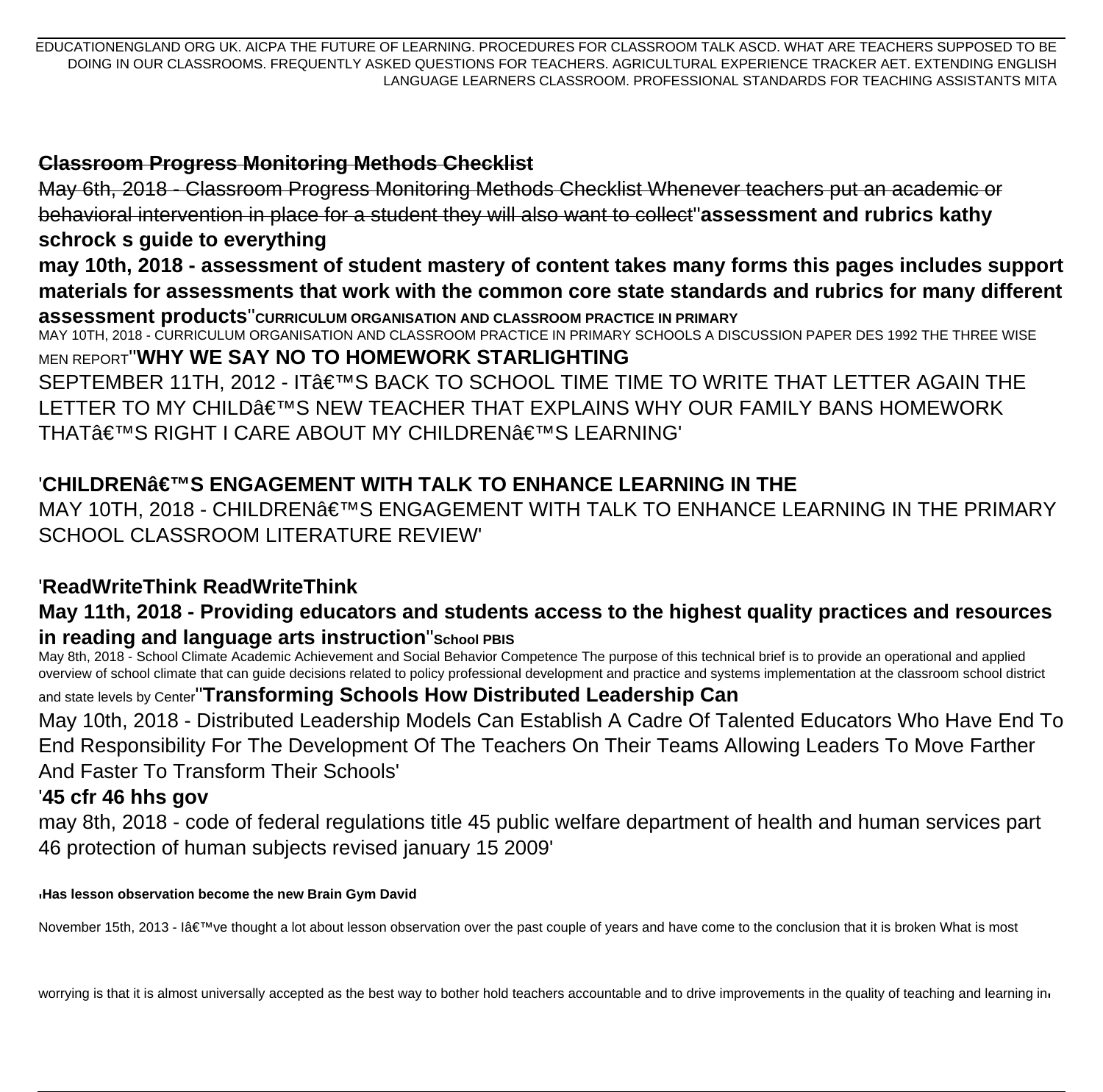EDUCATIONENGLAND ORG UK. AICPA THE FUTURE OF LEARNING. PROCEDURES FOR CLASSROOM TALK ASCD. WHAT ARE TEACHERS SUPPOSED TO BE DOING IN OUR CLASSROOMS. FREQUENTLY ASKED QUESTIONS FOR TEACHERS. AGRICULTURAL EXPERIENCE TRACKER AET. EXTENDING ENGLISH LANGUAGE LEARNERS CLASSROOM. PROFESSIONAL STANDARDS FOR TEACHING ASSISTANTS MITA

#### **Classroom Progress Monitoring Methods Checklist**

May 6th, 2018 - Classroom Progress Monitoring Methods Checklist Whenever teachers put an academic or behavioral intervention in place for a student they will also want to collect''**assessment and rubrics kathy schrock s guide to everything may 10th, 2018 - assessment of student mastery of content takes many forms this pages includes support materials for assessments that work with the common core state standards and rubrics for many different assessment products**''**CURRICULUM ORGANISATION AND CLASSROOM PRACTICE IN PRIMARY** MAY 10TH, 2018 - CURRICULUM ORGANISATION AND CLASSROOM PRACTICE IN PRIMARY SCHOOLS A DISCUSSION PAPER DES 1992 THE THREE WISE MEN REPORT''**WHY WE SAY NO TO HOMEWORK STARLIGHTING** SEPTEMBER 11TH, 2012 - IT'S BACK TO SCHOOL TIME TIME TO WRITE THAT LETTER AGAIN THE LETTER TO MY CHILD'S NEW TEACHER THAT EXPLAINS WHY OUR FAMILY BANS HOMEWORK THAT'S RIGHT I CARE ABOUT MY CHILDREN€™S LEARNING'

# '**CHILDREN'S ENGAGEMENT WITH TALK TO ENHANCE LEARNING IN THE**

MAY 10TH, 2018 - CHILDREN€™S ENGAGEMENT WITH TALK TO ENHANCE LEARNING IN THE PRIMARY SCHOOL CLASSROOM LITERATURE REVIEW'

# '**ReadWriteThink ReadWriteThink**

#### **May 11th, 2018 - Providing educators and students access to the highest quality practices and resources in reading and language arts instruction**''**School PBIS**

May 8th, 2018 - School Climate Academic Achievement and Social Behavior Competence The purpose of this technical brief is to provide an operational and applied overview of school climate that can guide decisions related to policy professional development and practice and systems implementation at the classroom school district

#### and state levels by Center''**Transforming Schools How Distributed Leadership Can**

May 10th, 2018 - Distributed Leadership Models Can Establish A Cadre Of Talented Educators Who Have End To End Responsibility For The Development Of The Teachers On Their Teams Allowing Leaders To Move Farther And Faster To Transform Their Schools'

## '**45 cfr 46 hhs gov**

may 8th, 2018 - code of federal regulations title 45 public welfare department of health and human services part 46 protection of human subjects revised january 15 2009'

'**Has lesson observation become the new Brain Gym David**

November 15th, 2013 - I've thought a lot about lesson observation over the past couple of years and have come to the conclusion that it is broken What is most

worrying is that it is almost universally accepted as the best way to bother hold teachers accountable and to drive improvements in the quality of teaching and learning in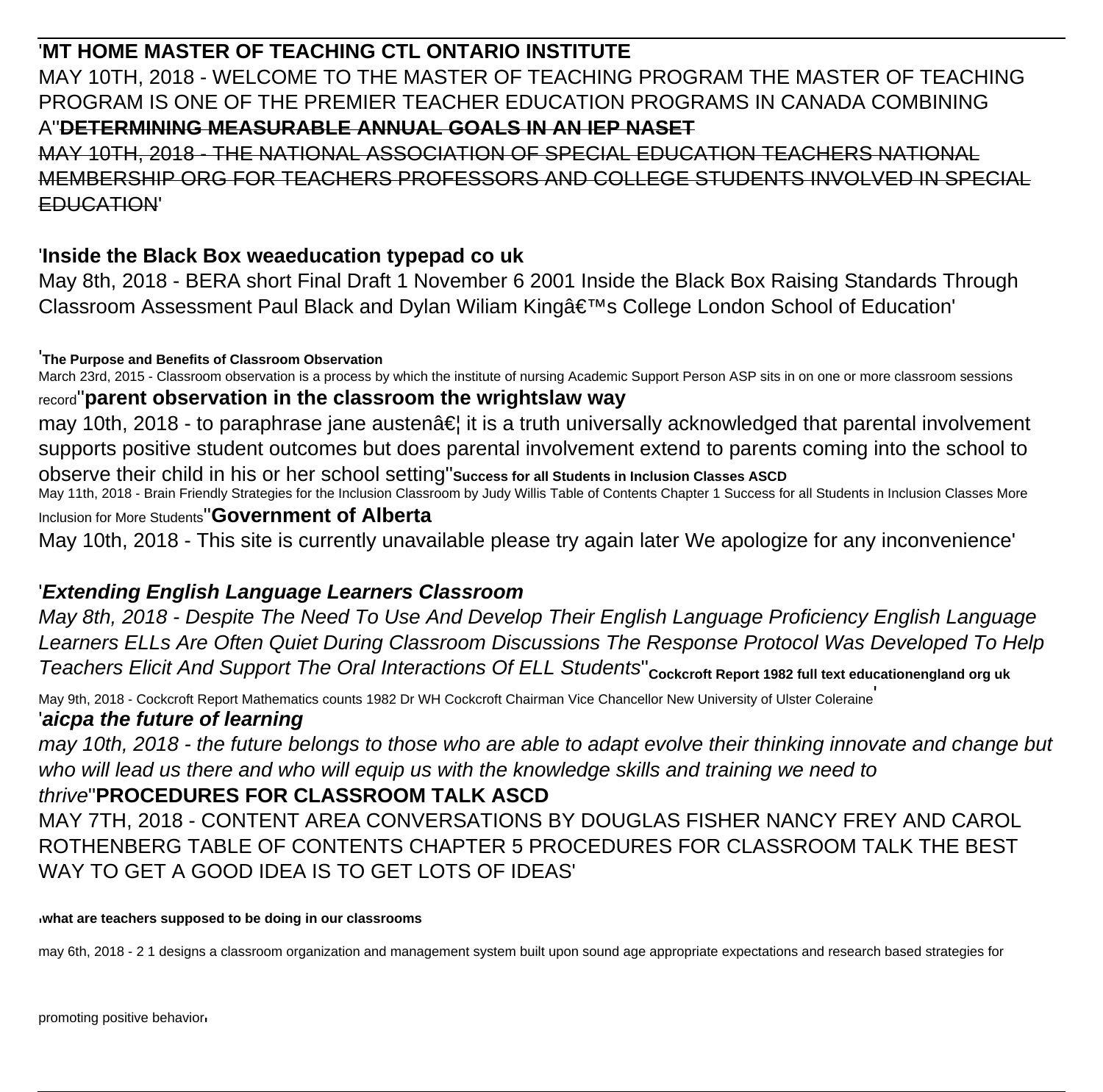# '**MT HOME MASTER OF TEACHING CTL ONTARIO INSTITUTE**

MAY 10TH, 2018 - WELCOME TO THE MASTER OF TEACHING PROGRAM THE MASTER OF TEACHING PROGRAM IS ONE OF THE PREMIER TEACHER EDUCATION PROGRAMS IN CANADA COMBINING A''**DETERMINING MEASURABLE ANNUAL GOALS IN AN IEP NASET**

MAY 10TH, 2018 - THE NATIONAL ASSOCIATION OF SPECIAL EDUCATION TEACHERS NATIONAL MEMBERSHIP ORG FOR TEACHERS PROFESSORS AND COLLEGE STUDENTS INVOLVED IN EDUCATION'

# '**Inside the Black Box weaeducation typepad co uk**

May 8th, 2018 - BERA short Final Draft 1 November 6 2001 Inside the Black Box Raising Standards Through Classroom Assessment Paul Black and Dylan Wiliam King's College London School of Education'

'**The Purpose and Benefits of Classroom Observation**

March 23rd, 2015 - Classroom observation is a process by which the institute of nursing Academic Support Person ASP sits in on one or more classroom sessions

#### record''**parent observation in the classroom the wrightslaw way**

may 10th, 2018 - to paraphrase jane austen $\hat{a} \in I$  it is a truth universally acknowledged that parental involvement supports positive student outcomes but does parental involvement extend to parents coming into the school to observe their child in his or her school setting''**Success for all Students in Inclusion Classes ASCD** May 11th, 2018 - Brain Friendly Strategies for the Inclusion Classroom by Judy Willis Table of Contents Chapter 1 Success for all Students in Inclusion Classes More Inclusion for More Students''**Government of Alberta**

May 10th, 2018 - This site is currently unavailable please try again later We apologize for any inconvenience'

# '**Extending English Language Learners Classroom**

May 8th, 2018 - Despite The Need To Use And Develop Their English Language Proficiency English Language Learners ELLs Are Often Quiet During Classroom Discussions The Response Protocol Was Developed To Help Teachers Elicit And Support The Oral Interactions Of ELL Students''**Cockcroft Report 1982 full text educationengland org uk**

May 9th, 2018 - Cockcroft Report Mathematics counts 1982 Dr WH Cockcroft Chairman Vice Chancellor New University of Ulster Coleraine' '**aicpa the future of learning**

may 10th, 2018 - the future belongs to those who are able to adapt evolve their thinking innovate and change but who will lead us there and who will equip us with the knowledge skills and training we need to

## thrive''**PROCEDURES FOR CLASSROOM TALK ASCD**

MAY 7TH, 2018 - CONTENT AREA CONVERSATIONS BY DOUGLAS FISHER NANCY FREY AND CAROL ROTHENBERG TABLE OF CONTENTS CHAPTER 5 PROCEDURES FOR CLASSROOM TALK THE BEST WAY TO GET A GOOD IDEA IS TO GET LOTS OF IDEAS'

'**what are teachers supposed to be doing in our classrooms**

may 6th, 2018 - 2 1 designs a classroom organization and management system built upon sound age appropriate expectations and research based strategies for